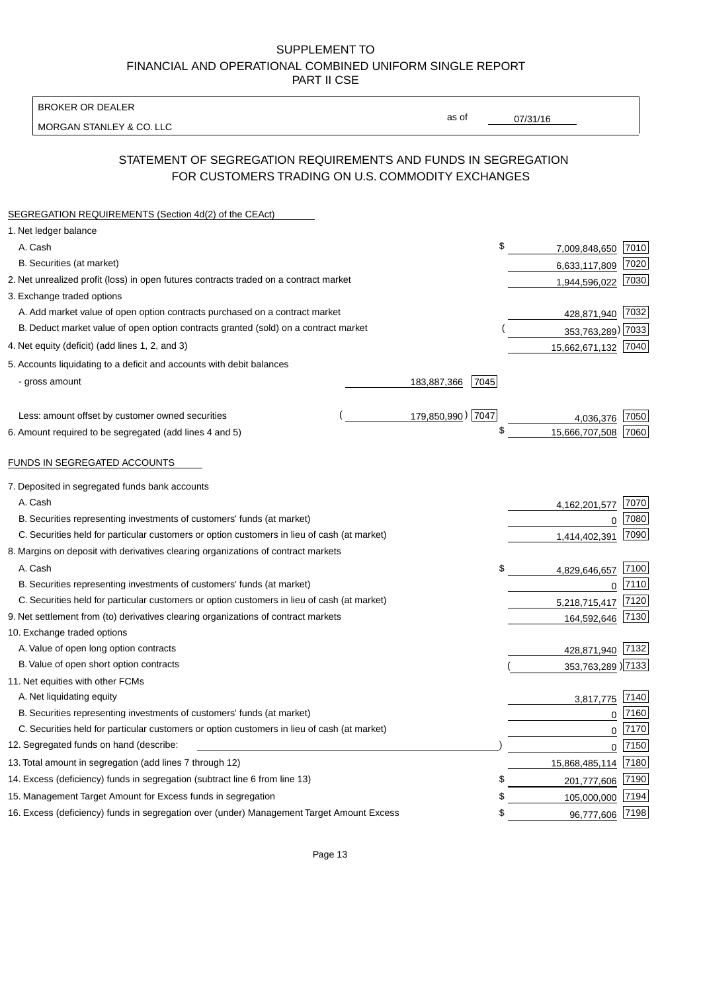BROKER OR DEALER

MORGAN STANLEY & CO. LLC

07/31/16

as of

# STATEMENT OF SEGREGATION REQUIREMENTS AND FUNDS IN SEGREGATION FOR CUSTOMERS TRADING ON U.S. COMMODITY EXCHANGES

| SEGREGATION REQUIREMENTS (Section 4d(2) of the CEAct)                                       |  |                     |                     |      |
|---------------------------------------------------------------------------------------------|--|---------------------|---------------------|------|
| 1. Net ledger balance                                                                       |  |                     |                     |      |
| A. Cash                                                                                     |  | \$                  | 7,009,848,650       | 7010 |
| B. Securities (at market)                                                                   |  |                     | 6,633,117,809       | 7020 |
| 2. Net unrealized profit (loss) in open futures contracts traded on a contract market       |  |                     | 1,944,596,022       | 7030 |
| 3. Exchange traded options                                                                  |  |                     |                     |      |
| A. Add market value of open option contracts purchased on a contract market                 |  |                     | 428,871,940 7032    |      |
| B. Deduct market value of open option contracts granted (sold) on a contract market         |  |                     | 353,763,289) 7033   |      |
| 4. Net equity (deficit) (add lines 1, 2, and 3)                                             |  |                     | 15,662,671,132 7040 |      |
| 5. Accounts liquidating to a deficit and accounts with debit balances                       |  |                     |                     |      |
| - gross amount                                                                              |  | 7045<br>183,887,366 |                     |      |
|                                                                                             |  |                     |                     |      |
| Less: amount offset by customer owned securities                                            |  | 179,850,990) 7047   | 4,036,376           | 7050 |
| 6. Amount required to be segregated (add lines 4 and 5)                                     |  | \$                  | 15,666,707,508      | 7060 |
|                                                                                             |  |                     |                     |      |
| FUNDS IN SEGREGATED ACCOUNTS                                                                |  |                     |                     |      |
| 7. Deposited in segregated funds bank accounts                                              |  |                     |                     |      |
| A. Cash                                                                                     |  |                     | 4, 162, 201, 577    | 7070 |
| B. Securities representing investments of customers' funds (at market)                      |  |                     | 0                   | 7080 |
| C. Securities held for particular customers or option customers in lieu of cash (at market) |  |                     | 1,414,402,391       | 7090 |
| 8. Margins on deposit with derivatives clearing organizations of contract markets           |  |                     |                     |      |
| A. Cash                                                                                     |  | \$                  | 4,829,646,657       | 7100 |
| B. Securities representing investments of customers' funds (at market)                      |  |                     | $\mathbf{0}$        | 7110 |
| C. Securities held for particular customers or option customers in lieu of cash (at market) |  | 5,218,715,417       | 7120                |      |
| 9. Net settlement from (to) derivatives clearing organizations of contract markets          |  | 164,592,646         | 7130                |      |
| 10. Exchange traded options                                                                 |  |                     |                     |      |
| A. Value of open long option contracts                                                      |  |                     | 428,871,940         | 7132 |
| B. Value of open short option contracts                                                     |  |                     | 353,763,289 7133    |      |
| 11. Net equities with other FCMs                                                            |  |                     |                     |      |
| A. Net liquidating equity                                                                   |  |                     | 3,817,775           | 7140 |
| B. Securities representing investments of customers' funds (at market)                      |  |                     | $\mathbf 0$         | 7160 |
| C. Securities held for particular customers or option customers in lieu of cash (at market) |  |                     | $\mathbf 0$         | 7170 |
| 12. Segregated funds on hand (describe:                                                     |  |                     | $\mathbf 0$         | 7150 |
| 13. Total amount in segregation (add lines 7 through 12)                                    |  |                     | 15,868,485,114      | 7180 |
| 14. Excess (deficiency) funds in segregation (subtract line 6 from line 13)                 |  | S                   | 201,777,606         | 7190 |
| 15. Management Target Amount for Excess funds in segregation                                |  | \$                  | 105,000,000         | 7194 |
| 16. Excess (deficiency) funds in segregation over (under) Management Target Amount Excess   |  | \$                  | 96,777,606          | 7198 |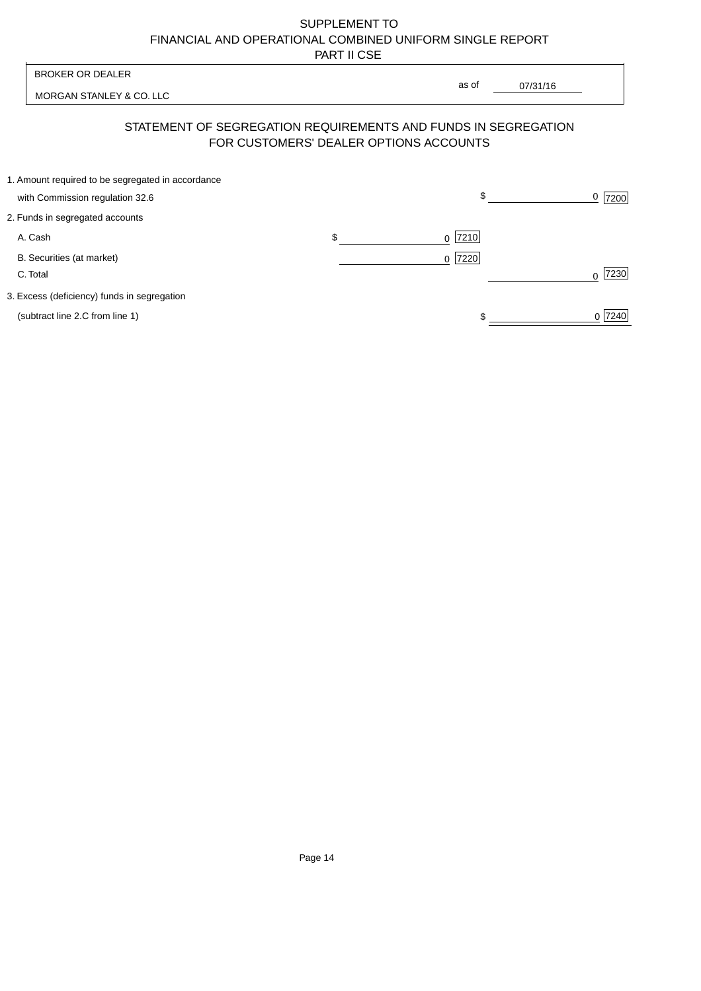MORGAN STANLEY & CO. LLC

07/31/16  $\overline{\phantom{a}}$ 

as of

# STATEMENT OF SEGREGATION REQUIREMENTS AND FUNDS IN SEGREGATION FOR CUSTOMERS' DEALER OPTIONS ACCOUNTS

| 1. Amount required to be segregated in accordance |     |           |                  |
|---------------------------------------------------|-----|-----------|------------------|
| with Commission regulation 32.6                   |     | \$        | 7200             |
| 2. Funds in segregated accounts                   |     |           |                  |
| A. Cash                                           | \$. | $0$  7210 |                  |
| B. Securities (at market)                         |     | $0$  7220 |                  |
| C. Total                                          |     |           | 7230<br>$\Omega$ |
| 3. Excess (deficiency) funds in segregation       |     |           |                  |
| (subtract line 2.C from line 1)                   |     |           | 0 7240           |
|                                                   |     |           |                  |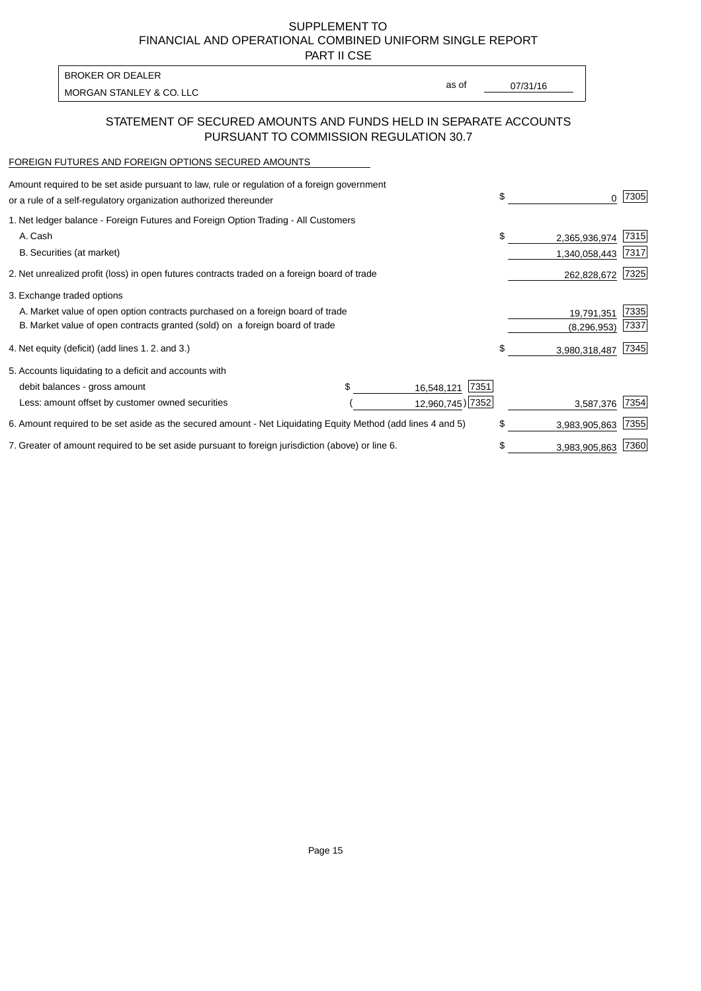PART II CSE

MORGAN STANLEY & CO. LLC and the contract of the contract of the contract of the contract of the contract of the contract of the contract of the contract of the contract of the contract of the contract of the contract of t BROKER OR DEALER

as of

## STATEMENT OF SECURED AMOUNTS AND FUNDS HELD IN SEPARATE ACCOUNTS PURSUANT TO COMMISSION REGULATION 30.7

### FOREIGN FUTURES AND FOREIGN OPTIONS SECURED AMOUNTS

| Amount required to be set aside pursuant to law, rule or regulation of a foreign government<br>or a rule of a self-regulatory organization authorized thereunder |  |                    | \$ |               | 7305 |
|------------------------------------------------------------------------------------------------------------------------------------------------------------------|--|--------------------|----|---------------|------|
| 1. Net ledger balance - Foreign Futures and Foreign Option Trading - All Customers                                                                               |  |                    |    |               |      |
| A. Cash                                                                                                                                                          |  |                    | \$ | 2,365,936,974 | 7315 |
| B. Securities (at market)                                                                                                                                        |  |                    |    | 1,340,058,443 | 7317 |
| 2. Net unrealized profit (loss) in open futures contracts traded on a foreign board of trade                                                                     |  |                    |    | 262,828,672   | 7325 |
| 3. Exchange traded options                                                                                                                                       |  |                    |    |               |      |
| A. Market value of open option contracts purchased on a foreign board of trade                                                                                   |  |                    |    | 19,791,351    | 7335 |
| B. Market value of open contracts granted (sold) on a foreign board of trade                                                                                     |  |                    |    | (8, 296, 953) | 7337 |
| 4. Net equity (deficit) (add lines 1.2. and 3.)                                                                                                                  |  |                    | \$ | 3,980,318,487 | 7345 |
| 5. Accounts liquidating to a deficit and accounts with                                                                                                           |  |                    |    |               |      |
| debit balances - gross amount                                                                                                                                    |  | 7351<br>16,548,121 |    |               |      |
| Less: amount offset by customer owned securities                                                                                                                 |  | 12,960,745) 7352   |    | 3,587,376     | 7354 |
| 6. Amount required to be set aside as the secured amount - Net Liquidating Equity Method (add lines 4 and 5)                                                     |  |                    | \$ | 3,983,905,863 | 7355 |
| 7. Greater of amount required to be set aside pursuant to foreign jurisdiction (above) or line 6.                                                                |  |                    | \$ | 3,983,905,863 | 7360 |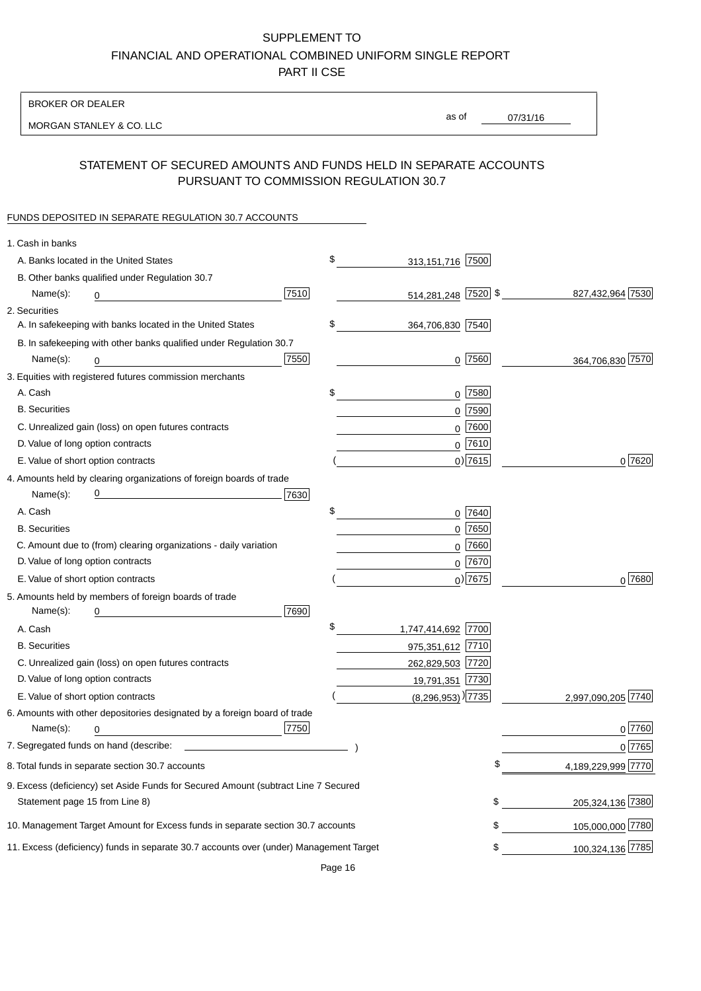BROKER OR DEALER

MORGAN STANLEY & CO. LLC

07/31/16 as of

# STATEMENT OF SECURED AMOUNTS AND FUNDS HELD IN SEPARATE ACCOUNTS PURSUANT TO COMMISSION REGULATION 30.7

#### FUNDS DEPOSITED IN SEPARATE REGULATION 30.7 ACCOUNTS

| 1. Cash in banks                   |                                                                                        |      |                                   |             |                    |
|------------------------------------|----------------------------------------------------------------------------------------|------|-----------------------------------|-------------|--------------------|
|                                    | A. Banks located in the United States                                                  |      | \$<br>313,151,716 7500            |             |                    |
|                                    | B. Other banks qualified under Regulation 30.7                                         |      |                                   |             |                    |
| Name(s):                           | 0                                                                                      | 7510 | 514,281,248 7520 \$               |             | 827,432,964 7530   |
| 2. Securities                      |                                                                                        |      |                                   |             |                    |
|                                    | A. In safekeeping with banks located in the United States                              |      | \$<br>364,706,830 7540            |             |                    |
|                                    | B. In safekeeping with other banks qualified under Regulation 30.7                     |      |                                   |             |                    |
| Name(s):                           | 0                                                                                      | 7550 |                                   | $0$  7560   | 364,706,830 7570   |
|                                    | 3. Equities with registered futures commission merchants                               |      |                                   |             |                    |
| A. Cash                            |                                                                                        |      | \$                                | 0 7580      |                    |
| <b>B.</b> Securities               |                                                                                        |      |                                   | $0$ 7590    |                    |
|                                    | C. Unrealized gain (loss) on open futures contracts                                    |      |                                   | $0$ 7600    |                    |
| D. Value of long option contracts  |                                                                                        |      |                                   | $0^{7610}$  |                    |
| E. Value of short option contracts |                                                                                        |      |                                   | $0)$ 7615   | 0 7620             |
|                                    | 4. Amounts held by clearing organizations of foreign boards of trade                   |      |                                   |             |                    |
| Name(s):                           |                                                                                        | 7630 |                                   |             |                    |
| A. Cash                            |                                                                                        |      | \$                                | 0 7640      |                    |
| <b>B.</b> Securities               |                                                                                        |      |                                   | $0$ 7650    |                    |
|                                    | C. Amount due to (from) clearing organizations - daily variation                       |      |                                   | $0$ 7660    |                    |
| D. Value of long option contracts  |                                                                                        |      |                                   | 0 7670      |                    |
| E. Value of short option contracts |                                                                                        |      |                                   | $_0$ ) 7675 | 0 7680             |
|                                    | 5. Amounts held by members of foreign boards of trade                                  |      |                                   |             |                    |
| Name(s):                           | 0                                                                                      | 7690 |                                   |             |                    |
| A. Cash                            |                                                                                        |      | \$<br>1,747,414,692 7700          |             |                    |
| <b>B.</b> Securities               |                                                                                        |      | 975,351,612 7710                  |             |                    |
|                                    | C. Unrealized gain (loss) on open futures contracts                                    |      | 262,829,503 7720                  |             |                    |
| D. Value of long option contracts  |                                                                                        |      | 19,791,351 7730                   |             |                    |
| E. Value of short option contracts |                                                                                        |      | $(8,296,953)$ <sup>)</sup> [7735] |             | 2,997,090,205 7740 |
|                                    | 6. Amounts with other depositories designated by a foreign board of trade              |      |                                   |             |                    |
| Name(s):                           | 0                                                                                      | 7750 |                                   |             | 0 7760             |
|                                    |                                                                                        |      |                                   |             | 0 7765             |
|                                    | 8. Total funds in separate section 30.7 accounts                                       |      |                                   |             | 4,189,229,999 7770 |
|                                    | 9. Excess (deficiency) set Aside Funds for Secured Amount (subtract Line 7 Secured     |      |                                   |             |                    |
| Statement page 15 from Line 8)     |                                                                                        |      |                                   | \$          | 205,324,136 7380   |
|                                    | 10. Management Target Amount for Excess funds in separate section 30.7 accounts        |      |                                   | \$          | 105,000,000 7780   |
|                                    | 11. Excess (deficiency) funds in separate 30.7 accounts over (under) Management Target |      |                                   | \$          | 100,324,136 7785   |
|                                    |                                                                                        |      |                                   |             |                    |